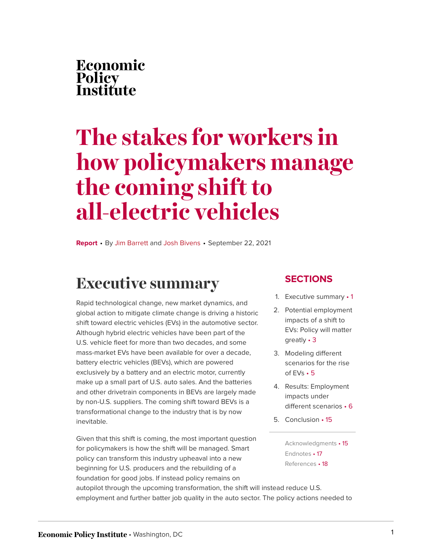# **The stakes for workers in how policymakers manage the coming shift to all-electric vehicles**

**Report** • By [Jim Barrett](https://www.epi.org/people/jim-barrett/) and [Josh Bivens](https://www.epi.org/people/josh-bivens/) • September 22, 2021

## <span id="page-0-0"></span>**Executive summary**

Rapid technological change, new market dynamics, and global action to mitigate climate change is driving a historic shift toward electric vehicles (EVs) in the automotive sector. Although hybrid electric vehicles have been part of the U.S. vehicle fleet for more than two decades, and some mass-market EVs have been available for over a decade, battery electric vehicles (BEVs), which are powered exclusively by a battery and an electric motor, currently make up a small part of U.S. auto sales. And the batteries and other drivetrain components in BEVs are largely made by non-U.S. suppliers. The coming shift toward BEVs is a transformational change to the industry that is by now inevitable.

Given that this shift is coming, the most important question for policymakers is how the shift will be managed. Smart policy can transform this industry upheaval into a new beginning for U.S. producers and the rebuilding of a foundation for good jobs. If instead policy remains on

#### **SECTIONS**

- 1. [Executive summary](#page-0-0) 1
- 2. [Potential employment](#page-2-0) [impacts of a shift to](#page-2-0) [EVs: Policy will matter](#page-2-0) [greatly](#page-2-0) • 3
- 3. [Modeling different](#page-4-0) [scenarios for the rise](#page-4-0) [of EVs](#page-4-0) • 5
- 4. [Results: Employment](#page-5-0) [impacts under](#page-5-0) [different scenarios](#page-5-0) • 6
- 5. [Conclusion](#page-14-0) 15

[Acknowledgments](#page-14-1) • 15 [Endnotes](#page-16-0) • 17 [References](#page-17-0) • 18

autopilot through the upcoming transformation, the shift will instead reduce U.S. employment and further batter job quality in the auto sector. The policy actions needed to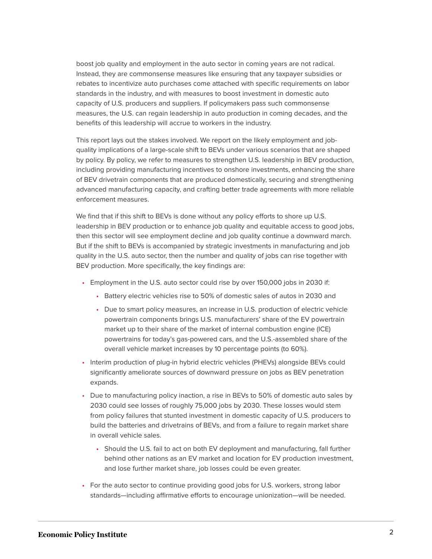boost job quality and employment in the auto sector in coming years are not radical. Instead, they are commonsense measures like ensuring that any taxpayer subsidies or rebates to incentivize auto purchases come attached with specific requirements on labor standards in the industry, and with measures to boost investment in domestic auto capacity of U.S. producers and suppliers. If policymakers pass such commonsense measures, the U.S. can regain leadership in auto production in coming decades, and the benefits of this leadership will accrue to workers in the industry.

This report lays out the stakes involved. We report on the likely employment and jobquality implications of a large-scale shift to BEVs under various scenarios that are shaped by policy. By policy, we refer to measures to strengthen U.S. leadership in BEV production, including providing manufacturing incentives to onshore investments, enhancing the share of BEV drivetrain components that are produced domestically, securing and strengthening advanced manufacturing capacity, and crafting better trade agreements with more reliable enforcement measures.

We find that if this shift to BEVs is done without any policy efforts to shore up U.S. leadership in BEV production or to enhance job quality and equitable access to good jobs, then this sector will see employment decline and job quality continue a downward march. But if the shift to BEVs is accompanied by strategic investments in manufacturing and job quality in the U.S. auto sector, then the number and quality of jobs can rise together with BEV production. More specifically, the key findings are:

- Employment in the U.S. auto sector could rise by over 150,000 jobs in 2030 if:
	- Battery electric vehicles rise to 50% of domestic sales of autos in 2030 and
	- Due to smart policy measures, an increase in U.S. production of electric vehicle powertrain components brings U.S. manufacturers' share of the EV powertrain market up to their share of the market of internal combustion engine (ICE) powertrains for today's gas-powered cars, and the U.S.-assembled share of the overall vehicle market increases by 10 percentage points (to 60%).
- Interim production of plug-in hybrid electric vehicles (PHEVs) alongside BEVs could significantly ameliorate sources of downward pressure on jobs as BEV penetration expands.
- Due to manufacturing policy inaction, a rise in BEVs to 50% of domestic auto sales by 2030 could see losses of roughly 75,000 jobs by 2030. These losses would stem from policy failures that stunted investment in domestic capacity of U.S. producers to build the batteries and drivetrains of BEVs, and from a failure to regain market share in overall vehicle sales.
	- Should the U.S. fail to act on both EV deployment and manufacturing, fall further behind other nations as an EV market and location for EV production investment, and lose further market share, job losses could be even greater.
- For the auto sector to continue providing good jobs for U.S. workers, strong labor standards—including affirmative efforts to encourage unionization—will be needed.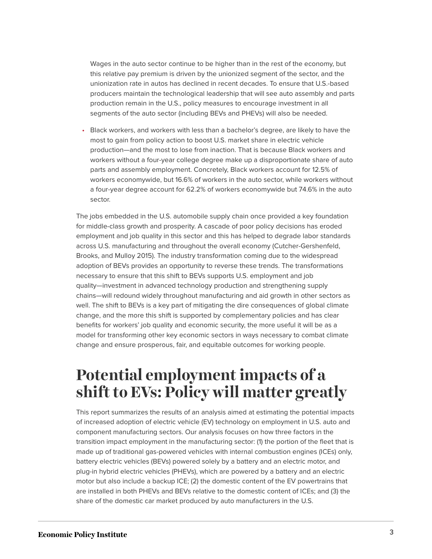Wages in the auto sector continue to be higher than in the rest of the economy, but this relative pay premium is driven by the unionized segment of the sector, and the unionization rate in autos has declined in recent decades. To ensure that U.S.-based producers maintain the technological leadership that will see auto assembly and parts production remain in the U.S., policy measures to encourage investment in all segments of the auto sector (including BEVs and PHEVs) will also be needed.

• Black workers, and workers with less than a bachelor's degree, are likely to have the most to gain from policy action to boost U.S. market share in electric vehicle production—and the most to lose from inaction. That is because Black workers and workers without a four-year college degree make up a disproportionate share of auto parts and assembly employment. Concretely, Black workers account for 12.5% of workers economywide, but 16.6% of workers in the auto sector, while workers without a four-year degree account for 62.2% of workers economywide but 74.6% in the auto sector.

The jobs embedded in the U.S. automobile supply chain once provided a key foundation for middle-class growth and prosperity. A cascade of poor policy decisions has eroded employment and job quality in this sector and this has helped to degrade labor standards across U.S. manufacturing and throughout the overall economy (Cutcher-Gershenfeld, Brooks, and Mulloy 2015). The industry transformation coming due to the widespread adoption of BEVs provides an opportunity to reverse these trends. The transformations necessary to ensure that this shift to BEVs supports U.S. employment and job quality—investment in advanced technology production and strengthening supply chains—will redound widely throughout manufacturing and aid growth in other sectors as well. The shift to BEVs is a key part of mitigating the dire consequences of global climate change, and the more this shift is supported by complementary policies and has clear benefits for workers' job quality and economic security, the more useful it will be as a model for transforming other key economic sectors in ways necessary to combat climate change and ensure prosperous, fair, and equitable outcomes for working people.

## <span id="page-2-0"></span>**Potential employment impacts of a shift to EVs: Policy will matter greatly**

This report summarizes the results of an analysis aimed at estimating the potential impacts of increased adoption of electric vehicle (EV) technology on employment in U.S. auto and component manufacturing sectors. Our analysis focuses on how three factors in the transition impact employment in the manufacturing sector: (1) the portion of the fleet that is made up of traditional gas-powered vehicles with internal combustion engines (ICEs) only, battery electric vehicles (BEVs) powered solely by a battery and an electric motor, and plug-in hybrid electric vehicles (PHEVs), which are powered by a battery and an electric motor but also include a backup ICE; (2) the domestic content of the EV powertrains that are installed in both PHEVs and BEVs relative to the domestic content of ICEs; and (3) the share of the domestic car market produced by auto manufacturers in the U.S.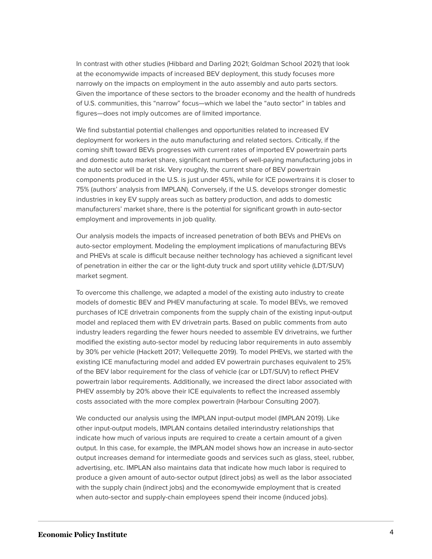In contrast with other studies (Hibbard and Darling 2021; Goldman School 2021) that look at the economywide impacts of increased BEV deployment, this study focuses more narrowly on the impacts on employment in the auto assembly and auto parts sectors. Given the importance of these sectors to the broader economy and the health of hundreds of U.S. communities, this "narrow" focus—which we label the "auto sector" in tables and figures—does not imply outcomes are of limited importance.

We find substantial potential challenges and opportunities related to increased EV deployment for workers in the auto manufacturing and related sectors. Critically, if the coming shift toward BEVs progresses with current rates of imported EV powertrain parts and domestic auto market share, significant numbers of well-paying manufacturing jobs in the auto sector will be at risk. Very roughly, the current share of BEV powertrain components produced in the U.S. is just under 45%, while for ICE powertrains it is closer to 75% (authors' analysis from IMPLAN). Conversely, if the U.S. develops stronger domestic industries in key EV supply areas such as battery production, and adds to domestic manufacturers' market share, there is the potential for significant growth in auto-sector employment and improvements in job quality.

Our analysis models the impacts of increased penetration of both BEVs and PHEVs on auto-sector employment. Modeling the employment implications of manufacturing BEVs and PHEVs at scale is difficult because neither technology has achieved a significant level of penetration in either the car or the light-duty truck and sport utility vehicle (LDT/SUV) market segment.

To overcome this challenge, we adapted a model of the existing auto industry to create models of domestic BEV and PHEV manufacturing at scale. To model BEVs, we removed purchases of ICE drivetrain components from the supply chain of the existing input-output model and replaced them with EV drivetrain parts. Based on public comments from auto industry leaders regarding the fewer hours needed to assemble EV drivetrains, we further modified the existing auto-sector model by reducing labor requirements in auto assembly by 30% per vehicle (Hackett 2017; Vellequette 2019). To model PHEVs, we started with the existing ICE manufacturing model and added EV powertrain purchases equivalent to 25% of the BEV labor requirement for the class of vehicle (car or LDT/SUV) to reflect PHEV powertrain labor requirements. Additionally, we increased the direct labor associated with PHEV assembly by 20% above their ICE equivalents to reflect the increased assembly costs associated with the more complex powertrain (Harbour Consulting 2007).

We conducted our analysis using the IMPLAN input-output model (IMPLAN 2019). Like other input-output models, IMPLAN contains detailed interindustry relationships that indicate how much of various inputs are required to create a certain amount of a given output. In this case, for example, the IMPLAN model shows how an increase in auto-sector output increases demand for intermediate goods and services such as glass, steel, rubber, advertising, etc. IMPLAN also maintains data that indicate how much labor is required to produce a given amount of auto-sector output (direct jobs) as well as the labor associated with the supply chain (indirect jobs) and the economywide employment that is created when auto-sector and supply-chain employees spend their income (induced jobs).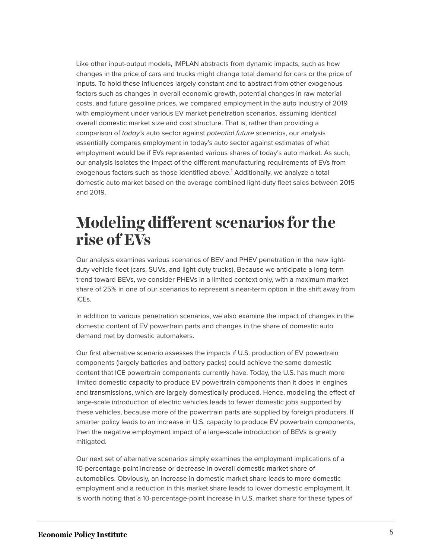Like other input-output models, IMPLAN abstracts from dynamic impacts, such as how changes in the price of cars and trucks might change total demand for cars or the price of inputs. To hold these influences largely constant and to abstract from other exogenous factors such as changes in overall economic growth, potential changes in raw material costs, and future gasoline prices, we compared employment in the auto industry of 2019 with employment under various EV market penetration scenarios, assuming identical overall domestic market size and cost structure. That is, rather than providing a comparison of today's auto sector against potential future scenarios, our analysis essentially compares employment in today's auto sector against estimates of what employment would be if EVs represented various shares of today's auto market. As such, our analysis isolates the impact of the different manufacturing requirements of EVs from exogenous factors such as those identified above.<sup>[1](#page-16-1)</sup> Additionally, we analyze a total domestic auto market based on the average combined light-duty fleet sales between 2015 and 2019.

### <span id="page-4-1"></span><span id="page-4-0"></span>**Modeling different scenarios for the rise of EVs**

Our analysis examines various scenarios of BEV and PHEV penetration in the new lightduty vehicle fleet (cars, SUVs, and light-duty trucks). Because we anticipate a long-term trend toward BEVs, we consider PHEVs in a limited context only, with a maximum market share of 25% in one of our scenarios to represent a near-term option in the shift away from ICEs.

In addition to various penetration scenarios, we also examine the impact of changes in the domestic content of EV powertrain parts and changes in the share of domestic auto demand met by domestic automakers.

Our first alternative scenario assesses the impacts if U.S. production of EV powertrain components (largely batteries and battery packs) could achieve the same domestic content that ICE powertrain components currently have. Today, the U.S. has much more limited domestic capacity to produce EV powertrain components than it does in engines and transmissions, which are largely domestically produced. Hence, modeling the effect of large-scale introduction of electric vehicles leads to fewer domestic jobs supported by these vehicles, because more of the powertrain parts are supplied by foreign producers. If smarter policy leads to an increase in U.S. capacity to produce EV powertrain components, then the negative employment impact of a large-scale introduction of BEVs is greatly mitigated.

Our next set of alternative scenarios simply examines the employment implications of a 10-percentage-point increase or decrease in overall domestic market share of automobiles. Obviously, an increase in domestic market share leads to more domestic employment and a reduction in this market share leads to lower domestic employment. It is worth noting that a 10-percentage-point increase in U.S. market share for these types of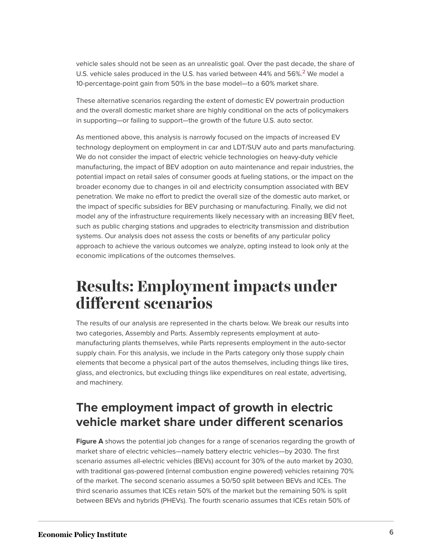<span id="page-5-1"></span>vehicle sales should not be seen as an unrealistic goal. Over the past decade, the share of U.S. vehicle sales produced in the U.S. has varied between 44% and  $56\%$ <sup>[2](#page-16-2)</sup> We model a 10-percentage-point gain from 50% in the base model—to a 60% market share.

These alternative scenarios regarding the extent of domestic EV powertrain production and the overall domestic market share are highly conditional on the acts of policymakers in supporting—or failing to support—the growth of the future U.S. auto sector.

As mentioned above, this analysis is narrowly focused on the impacts of increased EV technology deployment on employment in car and LDT/SUV auto and parts manufacturing. We do not consider the impact of electric vehicle technologies on heavy-duty vehicle manufacturing, the impact of BEV adoption on auto maintenance and repair industries, the potential impact on retail sales of consumer goods at fueling stations, or the impact on the broader economy due to changes in oil and electricity consumption associated with BEV penetration. We make no effort to predict the overall size of the domestic auto market, or the impact of specific subsidies for BEV purchasing or manufacturing. Finally, we did not model any of the infrastructure requirements likely necessary with an increasing BEV fleet, such as public charging stations and upgrades to electricity transmission and distribution systems. Our analysis does not assess the costs or benefits of any particular policy approach to achieve the various outcomes we analyze, opting instead to look only at the economic implications of the outcomes themselves.

### <span id="page-5-0"></span>**Results: Employment impacts under different scenarios**

The results of our analysis are represented in the charts below. We break our results into two categories, Assembly and Parts. Assembly represents employment at automanufacturing plants themselves, while Parts represents employment in the auto-sector supply chain. For this analysis, we include in the Parts category only those supply chain elements that become a physical part of the autos themselves, including things like tires, glass, and electronics, but excluding things like expenditures on real estate, advertising, and machinery.

### **The employment impact of growth in electric vehicle market share under different scenarios**

**Figure A** shows the potential job changes for a range of scenarios regarding the growth of market share of electric vehicles—namely battery electric vehicles—by 2030. The first scenario assumes all-electric vehicles (BEVs) account for 30% of the auto market by 2030, with traditional gas-powered (internal combustion engine powered) vehicles retaining 70% of the market. The second scenario assumes a 50/50 split between BEVs and ICEs. The third scenario assumes that ICEs retain 50% of the market but the remaining 50% is split between BEVs and hybrids (PHEVs). The fourth scenario assumes that ICEs retain 50% of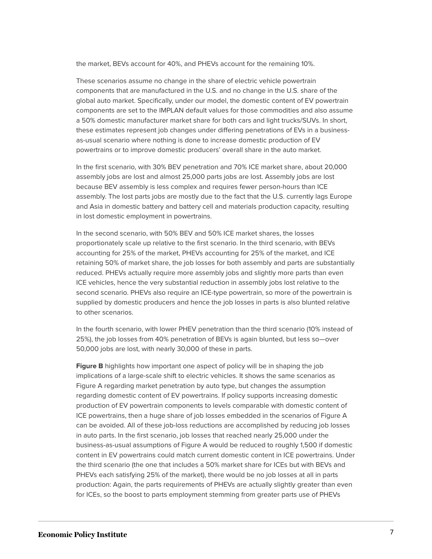the market, BEVs account for 40%, and PHEVs account for the remaining 10%.

These scenarios assume no change in the share of electric vehicle powertrain components that are manufactured in the U.S. and no change in the U.S. share of the global auto market. Specifically, under our model, the domestic content of EV powertrain components are set to the IMPLAN default values for those commodities and also assume a 50% domestic manufacturer market share for both cars and light trucks/SUVs. In short, these estimates represent job changes under differing penetrations of EVs in a businessas-usual scenario where nothing is done to increase domestic production of EV powertrains or to improve domestic producers' overall share in the auto market.

In the first scenario, with 30% BEV penetration and 70% ICE market share, about 20,000 assembly jobs are lost and almost 25,000 parts jobs are lost. Assembly jobs are lost because BEV assembly is less complex and requires fewer person-hours than ICE assembly. The lost parts jobs are mostly due to the fact that the U.S. currently lags Europe and Asia in domestic battery and battery cell and materials production capacity, resulting in lost domestic employment in powertrains.

In the second scenario, with 50% BEV and 50% ICE market shares, the losses proportionately scale up relative to the first scenario. In the third scenario, with BEVs accounting for 25% of the market, PHEVs accounting for 25% of the market, and ICE retaining 50% of market share, the job losses for both assembly and parts are substantially reduced. PHEVs actually require more assembly jobs and slightly more parts than even ICE vehicles, hence the very substantial reduction in assembly jobs lost relative to the second scenario. PHEVs also require an ICE-type powertrain, so more of the powertrain is supplied by domestic producers and hence the job losses in parts is also blunted relative to other scenarios.

In the fourth scenario, with lower PHEV penetration than the third scenario (10% instead of 25%), the job losses from 40% penetration of BEVs is again blunted, but less so—over 50,000 jobs are lost, with nearly 30,000 of these in parts.

**Figure B** highlights how important one aspect of policy will be in shaping the job implications of a large-scale shift to electric vehicles. It shows the same scenarios as Figure A regarding market penetration by auto type, but changes the assumption regarding domestic content of EV powertrains. If policy supports increasing domestic production of EV powertrain components to levels comparable with domestic content of ICE powertrains, then a huge share of job losses embedded in the scenarios of Figure A can be avoided. All of these job-loss reductions are accomplished by reducing job losses in auto parts. In the first scenario, job losses that reached nearly 25,000 under the business-as-usual assumptions of Figure A would be reduced to roughly 1,500 if domestic content in EV powertrains could match current domestic content in ICE powertrains. Under the third scenario (the one that includes a 50% market share for ICEs but with BEVs and PHEVs each satisfying 25% of the market), there would be no job losses at all in parts production: Again, the parts requirements of PHEVs are actually slightly greater than even for ICEs, so the boost to parts employment stemming from greater parts use of PHEVs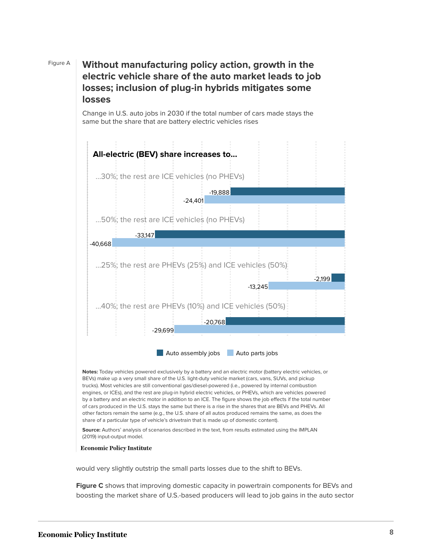### Figure A **Without manufacturing policy action, growth in the electric vehicle share of the auto market leads to job losses; inclusion of plug-in hybrids mitigates some losses**

Change in U.S. auto jobs in 2030 if the total number of cars made stays the same but the share that are battery electric vehicles rises



trucks). Most vehicles are still conventional gas/diesel-powered (i.e., powered by internal combustion engines, or ICEs), and the rest are plug-in hybrid electric vehicles, or PHEVs, which are vehicles powered by a battery and an electric motor in addition to an ICE. The figure shows the job effects if the total number of cars produced in the U.S. stays the same but there is a rise in the shares that are BEVs and PHEVs. All other factors remain the same (e.g., the U.S. share of all autos produced remains the same, as does the share of a particular type of vehicle's drivetrain that is made up of domestic content).

**Source:** Authors' analysis of scenarios described in the text, from results estimated using the IMPLAN (2019) input-output model.

**Economic Policy Institute** 

would very slightly outstrip the small parts losses due to the shift to BEVs.

**Figure C** shows that improving domestic capacity in powertrain components for BEVs and boosting the market share of U.S.-based producers will lead to job gains in the auto sector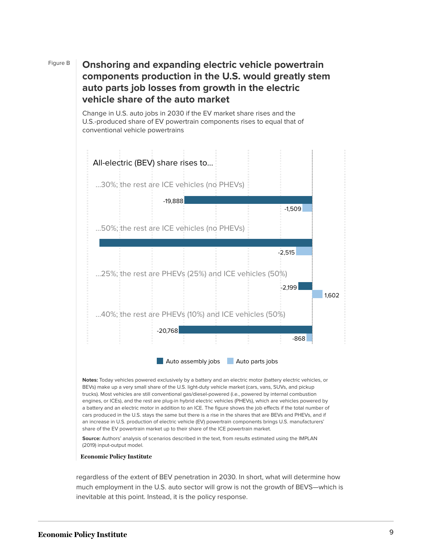### Figure B **Onshoring and expanding electric vehicle powertrain components production in the U.S. would greatly stem auto parts job losses from growth in the electric vehicle share of the auto market**

Change in U.S. auto jobs in 2030 if the EV market share rises and the U.S.-produced share of EV powertrain components rises to equal that of conventional vehicle powertrains



**Notes:** Today vehicles powered exclusively by a battery and an electric motor (battery electric vehicles, or BEVs) make up a very small share of the U.S. light-duty vehicle market (cars, vans, SUVs, and pickup trucks). Most vehicles are still conventional gas/diesel-powered (i.e., powered by internal combustion engines, or ICEs), and the rest are plug-in hybrid electric vehicles (PHEVs), which are vehicles powered by a battery and an electric motor in addition to an ICE. The figure shows the job effects if the total number of cars produced in the U.S. stays the same but there is a rise in the shares that are BEVs and PHEVs, and if an increase in U.S. production of electric vehicle (EV) powertrain components brings U.S. manufacturers' share of the EV powertrain market up to their share of the ICE powertrain market.

**Source:** Authors' analysis of scenarios described in the text, from results estimated using the IMPLAN (2019) input-output model.

#### **Economic Policy Institute**

regardless of the extent of BEV penetration in 2030. In short, what will determine how much employment in the U.S. auto sector will grow is not the growth of BEVS—which is inevitable at this point. Instead, it is the policy response.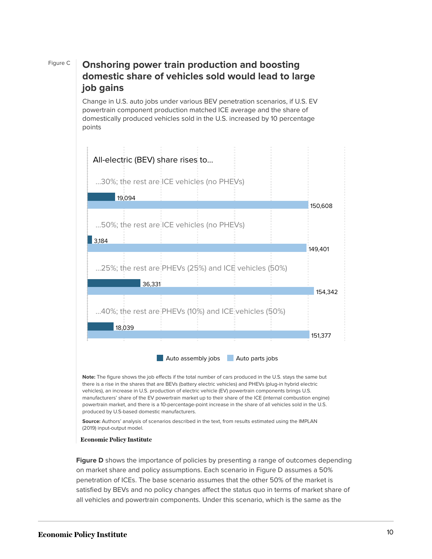### Figure C **Onshoring power train production and boosting domestic share of vehicles sold would lead to large job gains**

Change in U.S. auto jobs under various BEV penetration scenarios, if U.S. EV powertrain component production matched ICE average and the share of domestically produced vehicles sold in the U.S. increased by 10 percentage points



**Note:** The figure shows the job effects if the total number of cars produced in the U.S. stays the same but there is a rise in the shares that are BEVs (battery electric vehicles) and PHEVs (plug-in hybrid electric vehicles), an increase in U.S. production of electric vehicle (EV) powertrain components brings U.S. manufacturers' share of the EV powertrain market up to their share of the ICE (internal combustion engine) powertrain market, and there is a 10-percentage-point increase in the share of all vehicles sold in the U.S. produced by U.S-based domestic manufacturers.

**Source:** Authors' analysis of scenarios described in the text, from results estimated using the IMPLAN (2019) input-output model.

#### **Economic Policy Institute**

**Figure D** shows the importance of policies by presenting a range of outcomes depending on market share and policy assumptions. Each scenario in Figure D assumes a 50% penetration of ICEs. The base scenario assumes that the other 50% of the market is satisfied by BEVs and no policy changes affect the status quo in terms of market share of all vehicles and powertrain components. Under this scenario, which is the same as the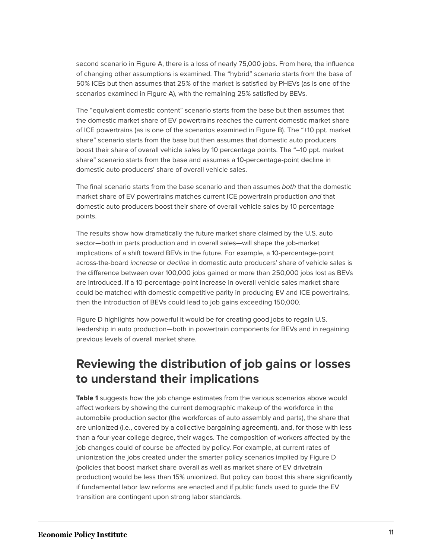second scenario in Figure A, there is a loss of nearly 75,000 jobs. From here, the influence of changing other assumptions is examined. The "hybrid" scenario starts from the base of 50% ICEs but then assumes that 25% of the market is satisfied by PHEVs (as is one of the scenarios examined in Figure A), with the remaining 25% satisfied by BEVs.

The "equivalent domestic content" scenario starts from the base but then assumes that the domestic market share of EV powertrains reaches the current domestic market share of ICE powertrains (as is one of the scenarios examined in Figure B). The "+10 ppt. market share" scenario starts from the base but then assumes that domestic auto producers boost their share of overall vehicle sales by 10 percentage points. The "–10 ppt. market share" scenario starts from the base and assumes a 10-percentage-point decline in domestic auto producers' share of overall vehicle sales.

The final scenario starts from the base scenario and then assumes both that the domestic market share of EV powertrains matches current ICE powertrain production and that domestic auto producers boost their share of overall vehicle sales by 10 percentage points.

The results show how dramatically the future market share claimed by the U.S. auto sector—both in parts production and in overall sales—will shape the job-market implications of a shift toward BEVs in the future. For example, a 10-percentage-point across-the-board increase or decline in domestic auto producers' share of vehicle sales is the difference between over 100,000 jobs gained or more than 250,000 jobs lost as BEVs are introduced. If a 10-percentage-point increase in overall vehicle sales market share could be matched with domestic competitive parity in producing EV and ICE powertrains, then the introduction of BEVs could lead to job gains exceeding 150,000.

Figure D highlights how powerful it would be for creating good jobs to regain U.S. leadership in auto production—both in powertrain components for BEVs and in regaining previous levels of overall market share.

### **Reviewing the distribution of job gains or losses to understand their implications**

**Table 1** suggests how the job change estimates from the various scenarios above would affect workers by showing the current demographic makeup of the workforce in the automobile production sector (the workforces of auto assembly and parts), the share that are unionized (i.e., covered by a collective bargaining agreement), and, for those with less than a four-year college degree, their wages. The composition of workers affected by the job changes could of course be affected by policy. For example, at current rates of unionization the jobs created under the smarter policy scenarios implied by Figure D (policies that boost market share overall as well as market share of EV drivetrain production) would be less than 15% unionized. But policy can boost this share significantly if fundamental labor law reforms are enacted and if public funds used to guide the EV transition are contingent upon strong labor standards.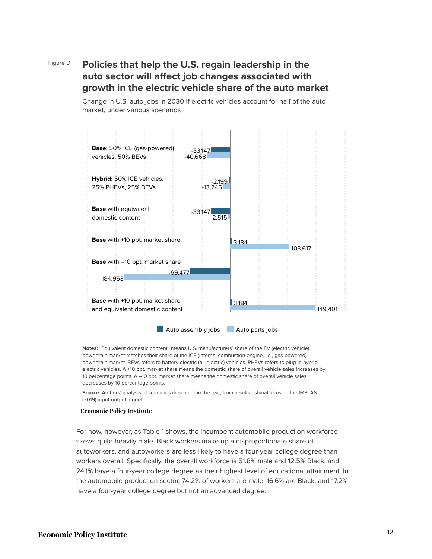### Figure D **Policies that help the U.S. regain leadership in the auto sector will affect job changes associated with growth in the electric vehicle share of the auto market**

Change in U.S. auto jobs in 2030 if electric vehicles account for half of the auto market, under various scenarios



**Notes:** "Equivalent domestic content" means U.S. manufacturers' share of the EV (electric vehicle) powertrain market matches their share of the ICE (internal combustion engine, i.e., gas-powered) powertrain market. BEVs refers to battery electric (all-electric) vehicles. PHEVs refers to plug-in hybrid electric vehicles. A +10 ppt. market share means the domestic share of overall vehicle sales increases by 10 percentage points. A –10 ppt. market share means the domestic share of overall vehicle sales decreases by 10 percentage points.

**Source:** Authors' analysis of scenarios described in the text, from results estimated using the IMPLAN (2019) input-output model.

#### **Economic Policy Institute**

For now, however, as Table 1 shows, the incumbent automobile production workforce skews quite heavily male. Black workers make up a disproportionate share of autoworkers, and autoworkers are less likely to have a four-year college degree than workers overall. Specifically, the overall workforce is 51.8% male and 12.5% Black, and 24.1% have a four-year college degree as their highest level of educational attainment. In the automobile production sector, 74.2% of workers are male, 16.6% are Black, and 17.2% have a four-year college degree but not an advanced degree.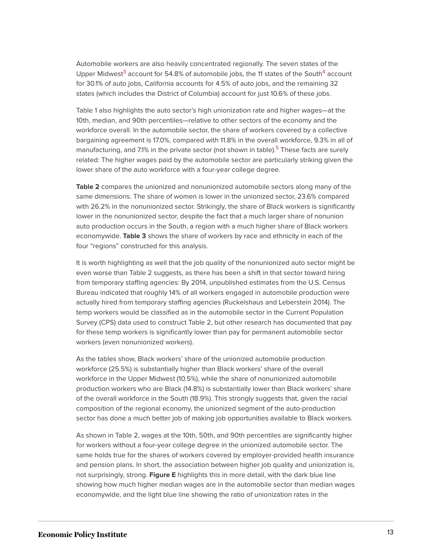<span id="page-12-0"></span>Automobile workers are also heavily concentrated regionally. The seven states of the Upper Midwest<sup>[3](#page-16-3)</sup> account for 5[4](#page-16-4).8% of automobile jobs, the 11 states of the South<sup>4</sup> account for 30.1% of auto jobs, California accounts for 4.5% of auto jobs, and the remaining 32 states (which includes the District of Columbia) account for just 10.6% of these jobs.

Table 1 also highlights the auto sector's high unionization rate and higher wages—at the 10th, median, and 90th percentiles—relative to other sectors of the economy and the workforce overall. In the automobile sector, the share of workers covered by a collective bargaining agreement is 17.0%, compared with 11.8% in the overall workforce, 9.3% in all of manufacturing, and 7.1% in the private sector (not shown in table).<sup>[5](#page-16-5)</sup> These facts are surely related: The higher wages paid by the automobile sector are particularly striking given the lower share of the auto workforce with a four-year college degree.

<span id="page-12-1"></span>**Table 2** compares the unionized and nonunionized automobile sectors along many of the same dimensions. The share of women is lower in the unionized sector, 23.6% compared with 26.2% in the nonunionized sector. Strikingly, the share of Black workers is significantly lower in the nonunionized sector, despite the fact that a much larger share of nonunion auto production occurs in the South, a region with a much higher share of Black workers economywide. **Table 3** shows the share of workers by race and ethnicity in each of the four "regions" constructed for this analysis.

It is worth highlighting as well that the job quality of the nonunionized auto sector might be even worse than Table 2 suggests, as there has been a shift in that sector toward hiring from temporary staffing agencies: By 2014, unpublished estimates from the U.S. Census Bureau indicated that roughly 14% of all workers engaged in automobile production were actually hired from temporary staffing agencies (Ruckelshaus and Leberstein 2014). The temp workers would be classified as in the automobile sector in the Current Population Survey (CPS) data used to construct Table 2, but other research has documented that pay for these temp workers is significantly lower than pay for permanent automobile sector workers (even nonunionized workers).

As the tables show, Black workers' share of the unionized automobile production workforce (25.5%) is substantially higher than Black workers' share of the overall workforce in the Upper Midwest (10.5%), while the share of nonunionized automobile production workers who are Black (14.8%) is substantially lower than Black workers' share of the overall workforce in the South (18.9%). This strongly suggests that, given the racial composition of the regional economy, the unionized segment of the auto-production sector has done a much better job of making job opportunities available to Black workers.

As shown in Table 2, wages at the 10th, 50th, and 90th percentiles are significantly higher for workers without a four-year college degree in the unionized automobile sector. The same holds true for the shares of workers covered by employer-provided health insurance and pension plans. In short, the association between higher job quality and unionization is, not surprisingly, strong. **Figure E** highlights this in more detail, with the dark blue line showing how much higher median wages are in the automobile sector than median wages economywide, and the light blue line showing the ratio of unionization rates in the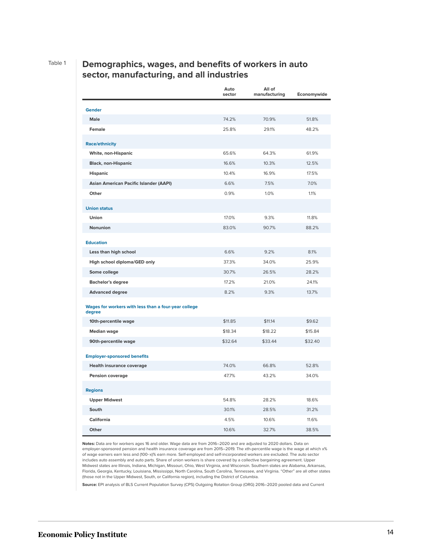#### Table 1 **Demographics, wages, and benefits of workers in auto sector, manufacturing, and all industries**

|                                                                | Auto<br>sector | All of<br>manufacturing | Economywide |
|----------------------------------------------------------------|----------------|-------------------------|-------------|
| Gender                                                         |                |                         |             |
| Male                                                           | 74.2%          | 70.9%                   | 51.8%       |
| Female                                                         | 25.8%          | 29.1%                   | 48.2%       |
| <b>Race/ethnicity</b>                                          |                |                         |             |
| White, non-Hispanic                                            | 65.6%          | 64.3%                   | 61.9%       |
| <b>Black, non-Hispanic</b>                                     | 16.6%          | 10.3%                   | 12.5%       |
| <b>Hispanic</b>                                                | 10.4%          | 16.9%                   | 17.5%       |
| Asian American Pacific Islander (AAPI)                         | 6.6%           | 7.5%                    | 7.0%        |
| Other                                                          | 0.9%           | 1.0%                    | 1.1%        |
| <b>Union status</b>                                            |                |                         |             |
| Union                                                          | 17.0%          | 9.3%                    | 11.8%       |
| Nonunion                                                       | 83.0%          | 90.7%                   | 88.2%       |
| <b>Education</b>                                               |                |                         |             |
| Less than high school                                          | 6.6%           | 9.2%                    | 8.1%        |
| High school diploma/GED only                                   | 37.3%          | 34.0%                   | 25.9%       |
| Some college                                                   | 30.7%          | 26.5%                   | 28.2%       |
| <b>Bachelor's degree</b>                                       | 17.2%          | 21.0%                   | 24.1%       |
| <b>Advanced degree</b>                                         | 8.2%           | 9.3%                    | 13.7%       |
| Wages for workers with less than a four-year college<br>degree |                |                         |             |
| 10th-percentile wage                                           | \$11.85        | \$11.14                 | \$9.62      |
| <b>Median wage</b>                                             | \$18.34        | \$18.22                 | \$15.84     |
| 90th-percentile wage                                           | \$32.64        | \$33.44                 | \$32.40     |
| <b>Employer-sponsored benefits</b>                             |                |                         |             |
| <b>Health insurance coverage</b>                               | 74.0%          | 66.8%                   | 52.8%       |
| <b>Pension coverage</b>                                        | 47.7%          | 43.2%                   | 34.0%       |
| <b>Regions</b>                                                 |                |                         |             |
| <b>Upper Midwest</b>                                           | 54.8%          | 28.2%                   | 18.6%       |
| South                                                          | 30.1%          | 28.5%                   | 31.2%       |
| California                                                     | 4.5%           | 10.6%                   | 11.6%       |
| Other                                                          | 10.6%          | 32.7%                   | 38.5%       |

**Notes:** Data are for workers ages 16 and older. Wage data are from 2016–2020 and are adjusted to 2020 dollars. Data on employer-sponsored pension and health insurance coverage are from 2015–2019. The xth-percentile wage is the wage at which x% of wage earners earn less and (100−x)% earn more. Self-employed and self-incorporated workers are excluded. The auto sector includes auto assembly and auto parts. Share of union workers is share covered by a collective bargaining agreement. Upper Midwest states are Illinois, Indiana, Michigan, Missouri, Ohio, West Virginia, and Wisconsin. Southern states are Alabama, Arkansas, Florida, Georgia, Kentucky, Louisiana, Mississippi, North Carolina, South Carolina, Tennessee, and Virginia. "Other" are all other states (those not in the Upper Midwest, South, or California region), including the District of Columbia.

**Source:** EPI analysis of BLS Current Population Survey (CPS) Outgoing Rotation Group (ORG) 2016–2020 pooled data and Current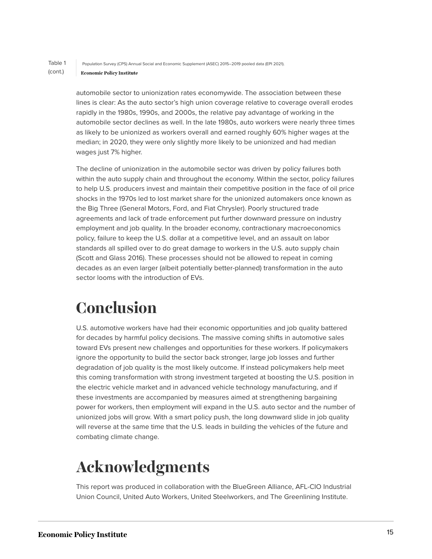#### Table 1 Population Survey (CPS) Annual Social and Economic Supplement (ASEC) 2015–2019 pooled data (EPI 2021). (cont.) **Economic Policy Institute**

automobile sector to unionization rates economywide. The association between these lines is clear: As the auto sector's high union coverage relative to coverage overall erodes rapidly in the 1980s, 1990s, and 2000s, the relative pay advantage of working in the automobile sector declines as well. In the late 1980s, auto workers were nearly three times as likely to be unionized as workers overall and earned roughly 60% higher wages at the median; in 2020, they were only slightly more likely to be unionized and had median wages just 7% higher.

The decline of unionization in the automobile sector was driven by policy failures both within the auto supply chain and throughout the economy. Within the sector, policy failures to help U.S. producers invest and maintain their competitive position in the face of oil price shocks in the 1970s led to lost market share for the unionized automakers once known as the Big Three (General Motors, Ford, and Fiat Chrysler). Poorly structured trade agreements and lack of trade enforcement put further downward pressure on industry employment and job quality. In the broader economy, contractionary macroeconomics policy, failure to keep the U.S. dollar at a competitive level, and an assault on labor standards all spilled over to do great damage to workers in the U.S. auto supply chain (Scott and Glass 2016). These processes should not be allowed to repeat in coming decades as an even larger (albeit potentially better-planned) transformation in the auto sector looms with the introduction of EVs.

# <span id="page-14-0"></span>**Conclusion**

U.S. automotive workers have had their economic opportunities and job quality battered for decades by harmful policy decisions. The massive coming shifts in automotive sales toward EVs present new challenges and opportunities for these workers. If policymakers ignore the opportunity to build the sector back stronger, large job losses and further degradation of job quality is the most likely outcome. If instead policymakers help meet this coming transformation with strong investment targeted at boosting the U.S. position in the electric vehicle market and in advanced vehicle technology manufacturing, and if these investments are accompanied by measures aimed at strengthening bargaining power for workers, then employment will expand in the U.S. auto sector and the number of unionized jobs will grow. With a smart policy push, the long downward slide in job quality will reverse at the same time that the U.S. leads in building the vehicles of the future and combating climate change.

# <span id="page-14-1"></span>**Acknowledgments**

This report was produced in collaboration with the BlueGreen Alliance, AFL-CIO Industrial Union Council, United Auto Workers, United Steelworkers, and The Greenlining Institute.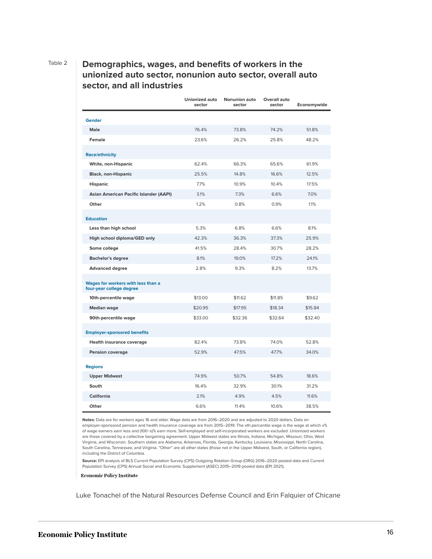#### Table 2 **Demographics, wages, and benefits of workers in the unionized auto sector, nonunion auto sector, overall auto sector, and all industries**

|                                                                | Unionized auto<br>sector | <b>Nonunion auto</b><br>sector | Overall auto<br>sector | Economywide |
|----------------------------------------------------------------|--------------------------|--------------------------------|------------------------|-------------|
| <b>Gender</b>                                                  |                          |                                |                        |             |
| Male                                                           | 76.4%                    | 73.8%                          | 74.2%                  | 51.8%       |
| Female                                                         | 23.6%                    | 26.2%                          | 25.8%                  | 48.2%       |
| <b>Race/ethnicity</b>                                          |                          |                                |                        |             |
| White, non-Hispanic                                            | 62.4%                    | 66.3%                          | 65.6%                  | 61.9%       |
| <b>Black, non-Hispanic</b>                                     | 25.5%                    | 14.8%                          | 16.6%                  | 12.5%       |
| <b>Hispanic</b>                                                | 7.7%                     | 10.9%                          | 10.4%                  | 17.5%       |
| Asian American Pacific Islander (AAPI)                         | 3.1%                     | 7.3%                           | 6.6%                   | 7.0%        |
| Other                                                          | 1.2%                     | 0.8%                           | 0.9%                   | 1.1%        |
| <b>Education</b>                                               |                          |                                |                        |             |
| Less than high school                                          | 5.3%                     | 6.8%                           | 6.6%                   | 8.1%        |
| High school diploma/GED only                                   | 42.3%                    | 36.3%                          | 37.3%                  | 25.9%       |
| Some college                                                   | 41.5%                    | 28.4%                          | 30.7%                  | 28.2%       |
| <b>Bachelor's degree</b>                                       | 8.1%                     | 19.0%                          | 17.2%                  | 24.1%       |
| <b>Advanced degree</b>                                         | 2.8%                     | 9.3%                           | 8.2%                   | 13.7%       |
| Wages for workers with less than a<br>four-year college degree |                          |                                |                        |             |
| 10th-percentile wage                                           | \$13.00                  | \$11.62                        | \$11.85                | \$9.62      |
| <b>Median wage</b>                                             | \$20.95                  | \$17.95                        | \$18.34                | \$15.84     |
| 90th-percentile wage                                           | \$33.00                  | \$32.36                        | \$32.64                | \$32.40     |
| <b>Employer-sponsored benefits</b>                             |                          |                                |                        |             |
| Health insurance coverage                                      | 82.4%                    | 73.8%                          | 74.0%                  | 52.8%       |
| <b>Pension coverage</b>                                        | 52.9%                    | 47.5%                          | 47.7%                  | 34.0%       |
| <b>Regions</b>                                                 |                          |                                |                        |             |
| <b>Upper Midwest</b>                                           | 74.9%                    | 50.7%                          | 54.8%                  | 18.6%       |
| South                                                          | 16.4%                    | 32.9%                          | 30.1%                  | 31.2%       |
| <b>California</b>                                              | 2.1%                     | 4.9%                           | 4.5%                   | 11.6%       |
| Other                                                          | 6.6%                     | 11.4%                          | 10.6%                  | 38.5%       |

**Notes:** Data are for workers ages 16 and older. Wage data are from 2016–2020 and are adjusted to 2020 dollars. Data on employer-sponsored pension and health insurance coverage are from 2015–2019. The xth-percentile wage is the wage at which x% of wage earners earn less and (100−x)% earn more. Self-employed and self-incorporated workers are excluded. Unionized workers are those covered by a collective bargaining agreement. Upper Midwest states are Illinois, Indiana, Michigan, Missouri, Ohio, West Virginia, and Wisconsin. Southern states are Alabama, Arkansas, Florida, Georgia, Kentucky, Louisiana, Mississippi, North Carolina, South Carolina, Tennessee, and Virginia. "Other" are all other states (those not in the Upper Midwest, South, or California region), including the District of Columbia.

**Source:** EPI analysis of BLS Current Population Survey (CPS) Outgoing Rotation Group (ORG) 2016–2020 pooled data and Current Population Survey (CPS) Annual Social and Economic Supplement (ASEC) 2015–2019 pooled data (EPI 2021).

**Economic Policy Institute** 

Luke Tonachel of the Natural Resources Defense Council and Erin Falquier of Chicane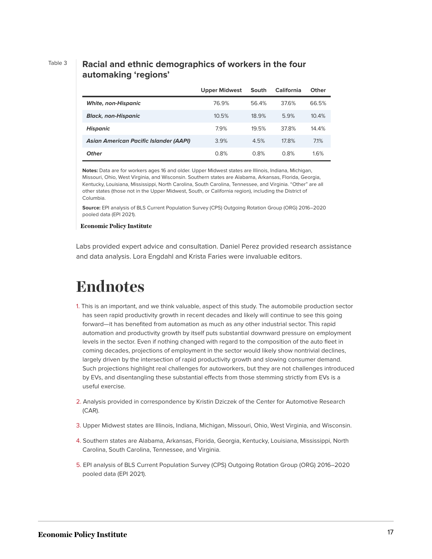### Table 3 **Racial and ethnic demographics of workers in the four automaking 'regions'**

|                                               | <b>Upper Midwest</b> | South | <b>California</b> | Other |
|-----------------------------------------------|----------------------|-------|-------------------|-------|
| <b>White, non-Hispanic</b>                    | 76.9%                | 56.4% | 37.6%             | 66.5% |
| <b>Black, non-Hispanic</b>                    | 10.5%                | 18.9% | 5.9%              | 10.4% |
| Hispanic                                      | 7.9%                 | 19.5% | 37.8%             | 14.4% |
| <b>Asian American Pacific Islander (AAPI)</b> | 3.9%                 | 4.5%  | 17.8%             | 7.1%  |
| <b>Other</b>                                  | 0.8%                 | 0.8%  | 0.8%              | 1.6%  |

**Notes:** Data are for workers ages 16 and older. Upper Midwest states are Illinois, Indiana, Michigan, Missouri, Ohio, West Virginia, and Wisconsin. Southern states are Alabama, Arkansas, Florida, Georgia, Kentucky, Louisiana, Mississippi, North Carolina, South Carolina, Tennessee, and Virginia. "Other" are all other states (those not in the Upper Midwest, South, or California region), including the District of Columbia.

**Source:** EPI analysis of BLS Current Population Survey (CPS) Outgoing Rotation Group (ORG) 2016–2020 pooled data (EPI 2021).

#### **Economic Policy Institute**

Labs provided expert advice and consultation. Daniel Perez provided research assistance and data analysis. Lora Engdahl and Krista Faries were invaluable editors.

# <span id="page-16-0"></span>**Endnotes**

- <span id="page-16-1"></span>[1.](#page-4-1) This is an important, and we think valuable, aspect of this study. The automobile production sector has seen rapid productivity growth in recent decades and likely will continue to see this going forward—it has benefited from automation as much as any other industrial sector. This rapid automation and productivity growth by itself puts substantial downward pressure on employment levels in the sector. Even if nothing changed with regard to the composition of the auto fleet in coming decades, projections of employment in the sector would likely show nontrivial declines, largely driven by the intersection of rapid productivity growth and slowing consumer demand. Such projections highlight real challenges for autoworkers, but they are not challenges introduced by EVs, and disentangling these substantial effects from those stemming strictly from EVs is a useful exercise.
- <span id="page-16-2"></span>[2.](#page-5-1) Analysis provided in correspondence by Kristin Dziczek of the Center for Automotive Research (CAR).
- <span id="page-16-3"></span>[3.](#page-12-0) Upper Midwest states are Illinois, Indiana, Michigan, Missouri, Ohio, West Virginia, and Wisconsin.
- <span id="page-16-4"></span>[4.](#page-12-0) Southern states are Alabama, Arkansas, Florida, Georgia, Kentucky, Louisiana, Mississippi, North Carolina, South Carolina, Tennessee, and Virginia.
- <span id="page-16-5"></span>[5.](#page-12-1) EPI analysis of BLS Current Population Survey (CPS) Outgoing Rotation Group (ORG) 2016–2020 pooled data (EPI 2021).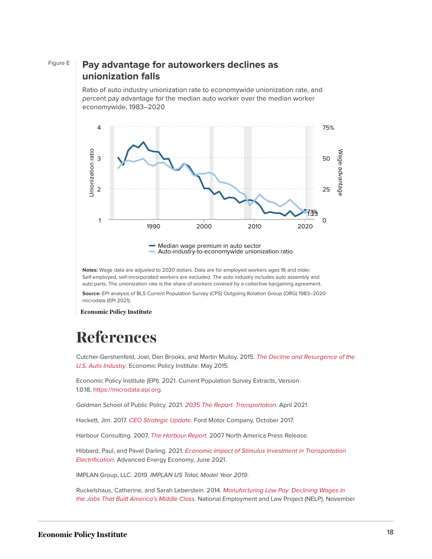#### Figure E **Pay advantage for autoworkers declines as unionization falls**

Ratio of auto industry unionization rate to economywide unionization rate, and percent pay advantage for the median auto worker over the median worker economywide, 1983–2020



Auto-industry-to-economywide unionization ratio

**Notes:** Wage data are adjusted to 2020 dollars. Data are for employed workers ages 16 and older. Self-employed, self-incorporated workers are excluded. The auto industry includes auto assembly and auto parts. The unionization rate is the share of workers covered by a collective bargaining agreement.

**Source:** EPI analysis of BLS Current Population Survey (CPS) Outgoing Rotation Group (ORG) 1983–2020

**Economic Policy Institute** 

# <span id="page-17-0"></span>**References**

Cutcher-Gershenfeld, Joel, Dan Brooks, and Martin Mulloy. 2015. [The Decline and Resurgence of the](https://www.epi.org/publication/the-decline-and-resurgence-of-the-u-s-auto-industry/) [U.S. Auto Industry](https://www.epi.org/publication/the-decline-and-resurgence-of-the-u-s-auto-industry/). Economic Policy Institute. May 2015.

Economic Policy Institute (EPI). 2021. Current Population Survey Extracts, Version 1.0.18, [https://microdata.epi.org.](https://microdata.epi.org/)

Goldman School of Public Policy. 2021. [2035 The Report: Transportation](https://www.2035report.com/transportation/). April 2021.

Hackett, Jim. 2017. [CEO Strategic Update.](http://s22.q4cdn.com/857684434/files/doc_presentations/2017/CEO-Strategic-Update-12.pdf) Ford Motor Company, October 2017.

Harbour Consulting. 2007. [The Harbour Report.](https://www.autonews.com/assets/PDF/CA2018861.PDF) 2007 North America Press Release.

Hibbard, Paul, and Pavel Darling. 2021. [Economic Impact of Stimulus Investment in Transportation](https://info.aee.net/economic-impact-of-stimulus-investment-in-transportation-electrification) [Electrification](https://info.aee.net/economic-impact-of-stimulus-investment-in-transportation-electrification). Advanced Energy Economy, June 2021.

IMPLAN Group, LLC. 2019. IMPLAN US Total, Model Year 2019.

Ruckelshaus, Catherine, and Sarah Leberstein. 2014. [Manufacturing Low Pay: Declining Wages in](https://s27147.pcdn.co/wp-content/uploads/2015/03/Manufacturing-Low-Pay-Declining-Wages-Jobs-Built-Middle-Class.pdf) [the Jobs That Built America's Middle Class](https://s27147.pcdn.co/wp-content/uploads/2015/03/Manufacturing-Low-Pay-Declining-Wages-Jobs-Built-Middle-Class.pdf). National Employment and Law Project (NELP), November